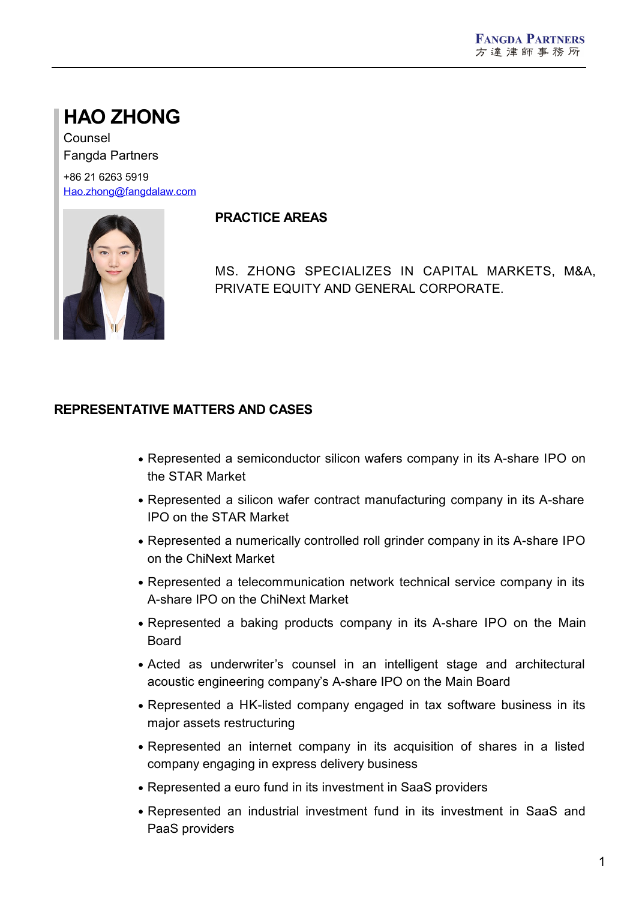# **HAO ZHONG**

Counsel Fangda Partners

+86 21 6263 5919 [Hao.zhong@fangdalaw.com](mailto:Hao.zhong@fangdalaw.com)



### **PRACTICE AREAS**

MS. ZHONG SPECIALIZES IN CAPITAL MARKETS, M&A, PRIVATE EQUITY AND GENERAL CORPORATE.

## **REPRESENTATIVE MATTERS AND CASES**

- Represented a semiconductor silicon wafers company in its A-share IPO on the STAR Market
- Represented a silicon wafer contract manufacturing company in its A-share IPO on the STAR Market
- Represented a numerically controlled roll grinder company in its A-share IPO on the ChiNext Market
- Represented a telecommunication network technical service company in its A-share IPO on the ChiNext Market
- Represented a baking products company in its A-share IPO on the Main Board
- Acted as underwriter's counsel in an intelligent stage and architectural acoustic engineering company's A-share IPO on the Main Board
- Represented a HK-listed company engaged in tax software business in its major assets restructuring
- Represented an internet company in its acquisition of shares in a listed company engaging in express delivery business
- Represented a euro fund in its investment in SaaS providers
- Represented an industrial investment fund in its investment in SaaS and PaaS providers